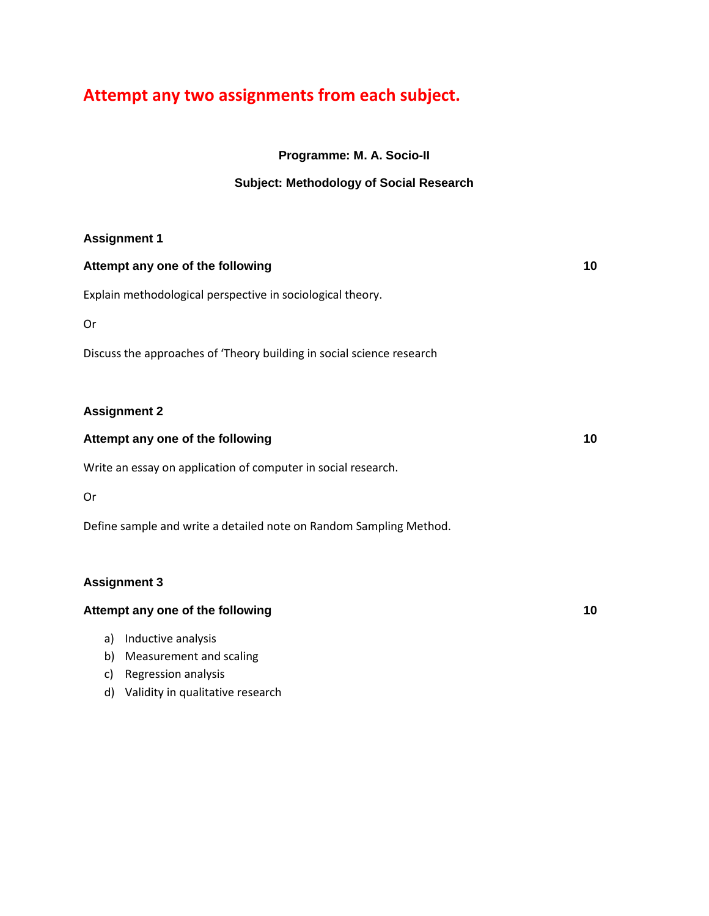# **Attempt any two assignments from each subject.**

**Programme: M. A. Socio-II**

### **Subject: Methodology of Social Research**

### **Assignment 1**

| Attempt any one of the following                                      | 10 |
|-----------------------------------------------------------------------|----|
| Explain methodological perspective in sociological theory.            |    |
| Or                                                                    |    |
| Discuss the approaches of 'Theory building in social science research |    |
|                                                                       |    |
| <b>Assignment 2</b>                                                   |    |
| Attempt any one of the following                                      | 10 |
| Write an essay on application of computer in social research.         |    |
| Or                                                                    |    |
| Define sample and write a detailed note on Random Sampling Method.    |    |
|                                                                       |    |
| <b>Assignment 3</b>                                                   |    |

## **Attempt any one of the following 10**

- a) Inductive analysis
- b) Measurement and scaling
- c) Regression analysis
- d) Validity in qualitative research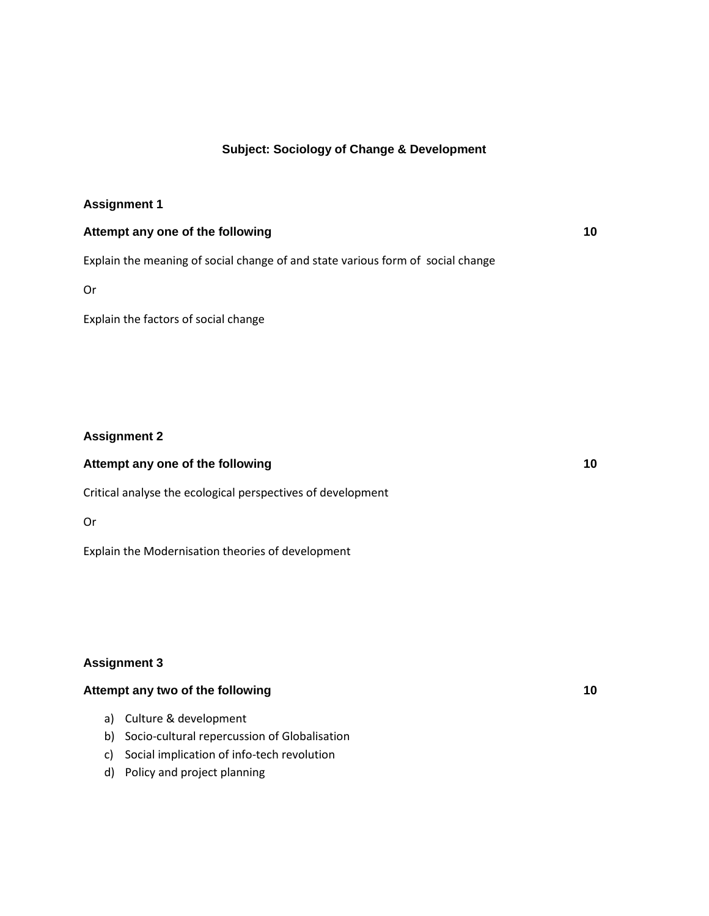#### **Subject: Sociology of Change & Development**

#### **Assignment 1**

| Attempt any one of the following |  |
|----------------------------------|--|
|                                  |  |

Explain the meaning of social change of and state various form of social change

Or

Explain the factors of social change

#### **Assignment 2**

#### **Attempt any one of the following 10**

Critical analyse the ecological perspectives of development

Or

Explain the Modernisation theories of development

#### **Assignment 3**

#### **Attempt any two of the following 10**

- a) Culture & development
- b) Socio-cultural repercussion of Globalisation
- c) Social implication of info-tech revolution
- d) Policy and project planning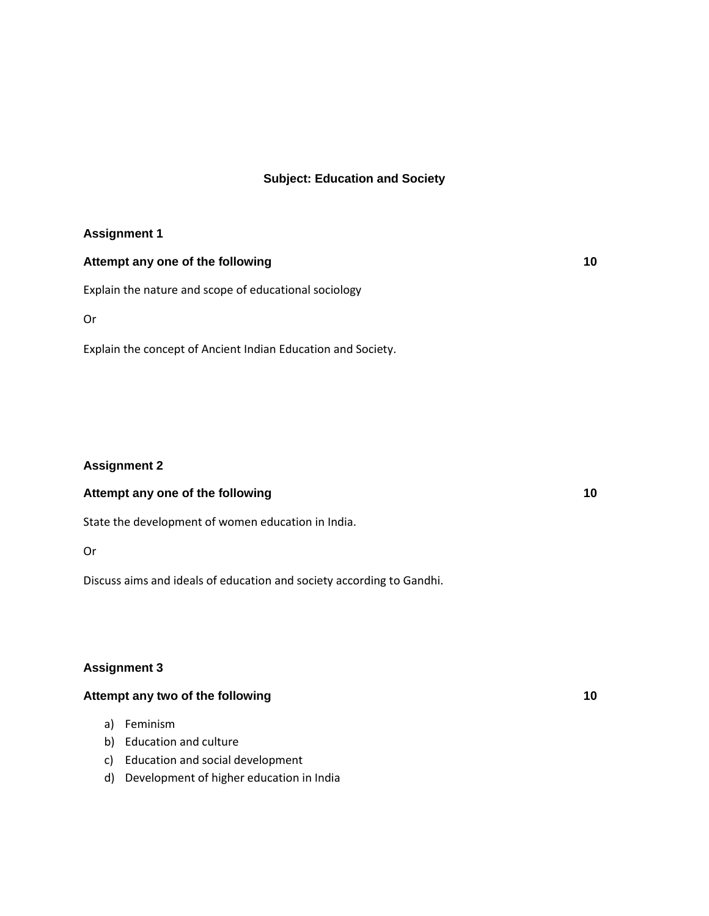#### **Subject: Education and Society**

#### **Assignment 1**

# **Attempt any one of the following 10**

Explain the nature and scope of educational sociology

Or

Explain the concept of Ancient Indian Education and Society.

#### **Assignment 2**

#### **Attempt any one of the following 10**

State the development of women education in India.

#### Or

Discuss aims and ideals of education and society according to Gandhi.

#### **Assignment 3**

#### **Attempt any two of the following 10**

- a) Feminism
- b) Education and culture
- c) Education and social development
- d) Development of higher education in India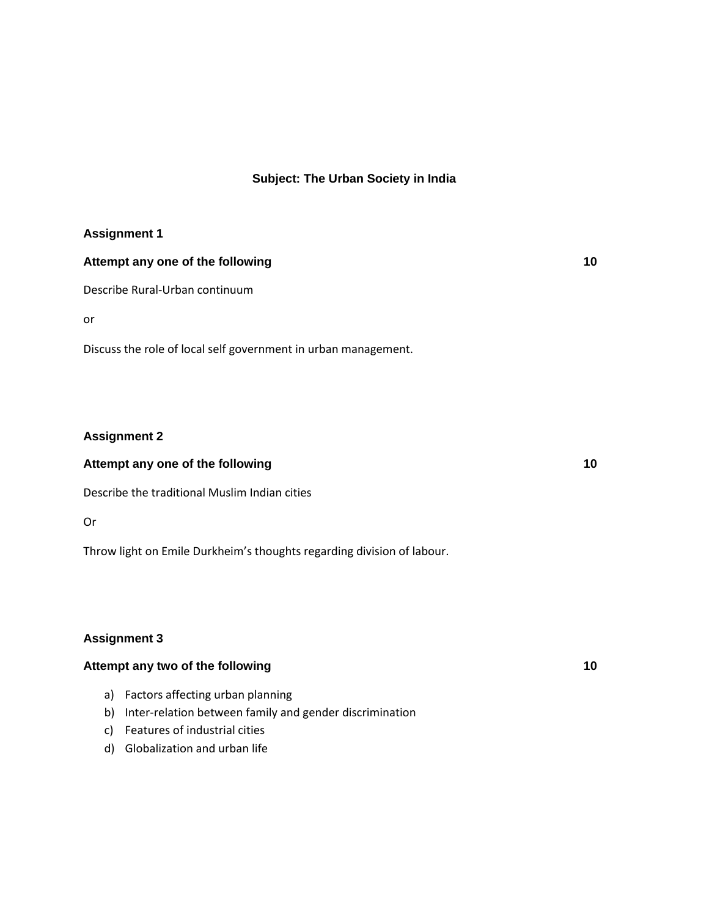#### **Subject: The Urban Society in India**

#### **Assignment 1**

### **Attempt any one of the following 10**

Describe Rural-Urban continuum

or

Discuss the role of local self government in urban management.

#### **Assignment 2**

#### **Attempt any one of the following 10**

Describe the traditional Muslim Indian cities

#### Or

Throw light on Emile Durkheim's thoughts regarding division of labour.

#### **Assignment 3**

# **Attempt any two of the following 10** a) Factors affecting urban planning

- b) Inter-relation between family and gender discrimination
- c) Features of industrial cities
- d) Globalization and urban life